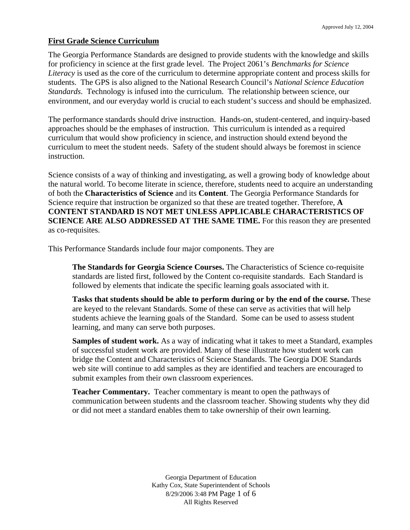#### **First Grade Science Curriculum**

The Georgia Performance Standards are designed to provide students with the knowledge and skills for proficiency in science at the first grade level. The Project 2061's *Benchmarks for Science Literacy* is used as the core of the curriculum to determine appropriate content and process skills for students. The GPS is also aligned to the National Research Council's *National Science Education Standards*. Technology is infused into the curriculum. The relationship between science, our environment, and our everyday world is crucial to each student's success and should be emphasized.

The performance standards should drive instruction. Hands-on, student-centered, and inquiry-based approaches should be the emphases of instruction. This curriculum is intended as a required curriculum that would show proficiency in science, and instruction should extend beyond the curriculum to meet the student needs. Safety of the student should always be foremost in science instruction.

Science consists of a way of thinking and investigating, as well a growing body of knowledge about the natural world. To become literate in science, therefore, students need to acquire an understanding of both the **Characteristics of Science** and its **Content**. The Georgia Performance Standards for Science require that instruction be organized so that these are treated together. Therefore, **A CONTENT STANDARD IS NOT MET UNLESS APPLICABLE CHARACTERISTICS OF SCIENCE ARE ALSO ADDRESSED AT THE SAME TIME.** For this reason they are presented as co-requisites.

This Performance Standards include four major components. They are

**The Standards for Georgia Science Courses.** The Characteristics of Science co-requisite standards are listed first, followed by the Content co-requisite standards. Each Standard is followed by elements that indicate the specific learning goals associated with it.

**Tasks that students should be able to perform during or by the end of the course.** These are keyed to the relevant Standards. Some of these can serve as activities that will help students achieve the learning goals of the Standard. Some can be used to assess student learning, and many can serve both purposes.

**Samples of student work.** As a way of indicating what it takes to meet a Standard, examples of successful student work are provided. Many of these illustrate how student work can bridge the Content and Characteristics of Science Standards. The Georgia DOE Standards web site will continue to add samples as they are identified and teachers are encouraged to submit examples from their own classroom experiences.

**Teacher Commentary.** Teacher commentary is meant to open the pathways of communication between students and the classroom teacher. Showing students why they did or did not meet a standard enables them to take ownership of their own learning.

> Georgia Department of Education Kathy Cox, State Superintendent of Schools 8/29/2006 3:48 PM Page 1 of 6 All Rights Reserved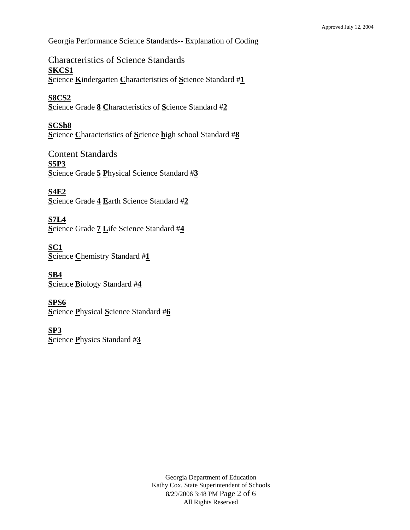Georgia Performance Science Standards-- Explanation of Coding

Characteristics of Science Standards **SKCS1 S**cience **K**indergarten **C**haracteristics of **S**cience Standard #**1**

**S8CS2 S**cience Grade **8 C**haracteristics of **S**cience Standard #**2**

**SCSh8 S**cience **C**haracteristics of **S**cience **h**igh school Standard #**8**

Content Standards **S5P3 S**cience Grade **5 P**hysical Science Standard #**3**

**S4E2 S**cience Grade **4 E**arth Science Standard #**2**

**S7L4 S**cience Grade **7 L**ife Science Standard #**4**

**SC1 S**cience **C**hemistry Standard #**1**

**SB4 S**cience **B**iology Standard #**4**

**SPS6 S**cience **P**hysical **S**cience Standard #**6**

**SP3 S**cience **P**hysics Standard #**3**

> Georgia Department of Education Kathy Cox, State Superintendent of Schools 8/29/2006 3:48 PM Page 2 of 6 All Rights Reserved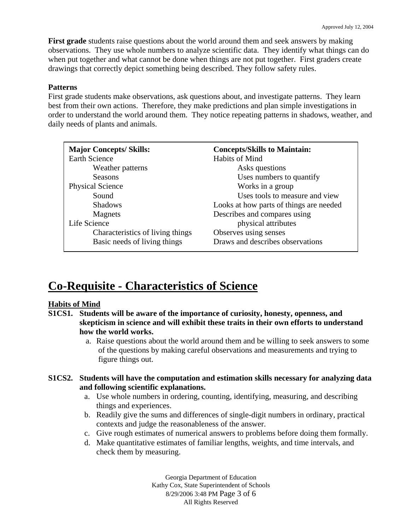**First grade** students raise questions about the world around them and seek answers by making observations. They use whole numbers to analyze scientific data. They identify what things can do when put together and what cannot be done when things are not put together. First graders create drawings that correctly depict something being described. They follow safety rules.

#### **Patterns**

First grade students make observations, ask questions about, and investigate patterns. They learn best from their own actions. Therefore, they make predictions and plan simple investigations in order to understand the world around them. They notice repeating patterns in shadows, weather, and daily needs of plants and animals.

| <b>Major Concepts/Skills:</b>    | <b>Concepts/Skills to Maintain:</b>     |
|----------------------------------|-----------------------------------------|
| <b>Earth Science</b>             | Habits of Mind                          |
| Weather patterns                 | Asks questions                          |
| <b>Seasons</b>                   | Uses numbers to quantify                |
| <b>Physical Science</b>          | Works in a group                        |
| Sound                            | Uses tools to measure and view          |
| <b>Shadows</b>                   | Looks at how parts of things are needed |
| Magnets                          | Describes and compares using            |
| Life Science                     | physical attributes                     |
| Characteristics of living things | Observes using senses                   |
| Basic needs of living things     | Draws and describes observations        |

# **Co-Requisite - Characteristics of Science**

#### **Habits of Mind**

- **S1CS1. Students will be aware of the importance of curiosity, honesty, openness, and skepticism in science and will exhibit these traits in their own efforts to understand how the world works.** 
	- a. Raise questions about the world around them and be willing to seek answers to some of the questions by making careful observations and measurements and trying to figure things out.

#### **S1CS2. Students will have the computation and estimation skills necessary for analyzing data and following scientific explanations.**

- a. Use whole numbers in ordering, counting, identifying, measuring, and describing things and experiences.
- b. Readily give the sums and differences of single-digit numbers in ordinary, practical contexts and judge the reasonableness of the answer.
- c. Give rough estimates of numerical answers to problems before doing them formally.
- d. Make quantitative estimates of familiar lengths, weights, and time intervals, and check them by measuring.

Georgia Department of Education Kathy Cox, State Superintendent of Schools 8/29/2006 3:48 PM Page 3 of 6 All Rights Reserved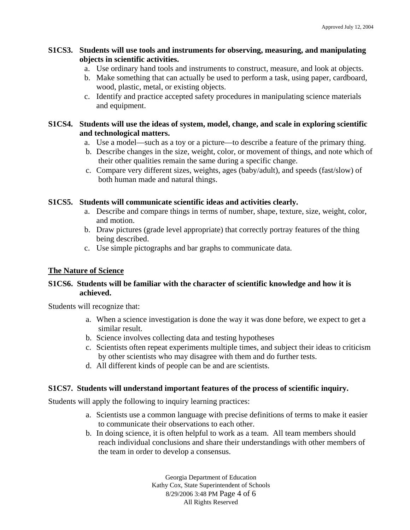## **S1CS3. Students will use tools and instruments for observing, measuring, and manipulating objects in scientific activities.**

- a. Use ordinary hand tools and instruments to construct, measure, and look at objects.
- b. Make something that can actually be used to perform a task, using paper, cardboard, wood, plastic, metal, or existing objects.
- c. Identify and practice accepted safety procedures in manipulating science materials and equipment.

# **S1CS4. Students will use the ideas of system, model, change, and scale in exploring scientific and technological matters.**

- a. Use a model—such as a toy or a picture—to describe a feature of the primary thing.
- b. Describe changes in the size, weight, color, or movement of things, and note which of their other qualities remain the same during a specific change.
- c. Compare very different sizes, weights, ages (baby/adult), and speeds (fast/slow) of both human made and natural things.

# **S1CS5. Students will communicate scientific ideas and activities clearly.**

- a. Describe and compare things in terms of number, shape, texture, size, weight, color, and motion.
- b. Draw pictures (grade level appropriate) that correctly portray features of the thing being described.
- c. Use simple pictographs and bar graphs to communicate data.

# **The Nature of Science**

## **S1CS6. Students will be familiar with the character of scientific knowledge and how it is achieved.**

Students will recognize that:

- a. When a science investigation is done the way it was done before, we expect to get a similar result.
- b. Science involves collecting data and testing hypotheses
- c. Scientists often repeat experiments multiple times, and subject their ideas to criticism by other scientists who may disagree with them and do further tests.
- d. All different kinds of people can be and are scientists.

#### **S1CS7. Students will understand important features of the process of scientific inquiry.**

Students will apply the following to inquiry learning practices:

- a. Scientists use a common language with precise definitions of terms to make it easier to communicate their observations to each other.
- b. In doing science, it is often helpful to work as a team. All team members should reach individual conclusions and share their understandings with other members of the team in order to develop a consensus.

Georgia Department of Education Kathy Cox, State Superintendent of Schools 8/29/2006 3:48 PM Page 4 of 6 All Rights Reserved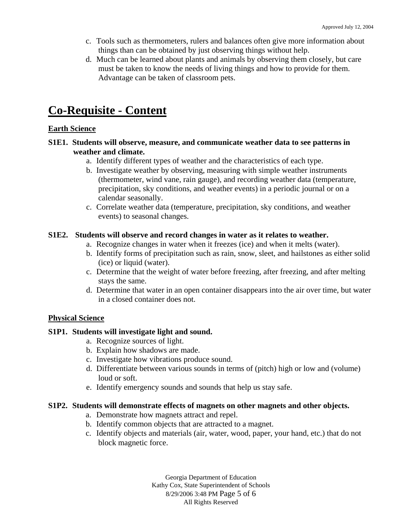- c. Tools such as thermometers, rulers and balances often give more information about things than can be obtained by just observing things without help.
- d. Much can be learned about plants and animals by observing them closely, but care must be taken to know the needs of living things and how to provide for them. Advantage can be taken of classroom pets.

# **Co-Requisite - Content**

## **Earth Science**

- **S1E1. Students will observe, measure, and communicate weather data to see patterns in weather and climate.** 
	- a. Identify different types of weather and the characteristics of each type.
	- b. Investigate weather by observing, measuring with simple weather instruments (thermometer, wind vane, rain gauge), and recording weather data (temperature, precipitation, sky conditions, and weather events) in a periodic journal or on a calendar seasonally.
	- c. Correlate weather data (temperature, precipitation, sky conditions, and weather events) to seasonal changes.

## **S1E2. Students will observe and record changes in water as it relates to weather.**

- a. Recognize changes in water when it freezes (ice) and when it melts (water).
- b. Identify forms of precipitation such as rain, snow, sleet, and hailstones as either solid (ice) or liquid (water).
- c. Determine that the weight of water before freezing, after freezing, and after melting stays the same.
- d. Determine that water in an open container disappears into the air over time, but water in a closed container does not.

# **Physical Science**

#### **S1P1. Students will investigate light and sound.**

- a. Recognize sources of light.
- b. Explain how shadows are made.
- c. Investigate how vibrations produce sound.
- d. Differentiate between various sounds in terms of (pitch) high or low and (volume) loud or soft.
- e. Identify emergency sounds and sounds that help us stay safe.

#### **S1P2. Students will demonstrate effects of magnets on other magnets and other objects.**

- a. Demonstrate how magnets attract and repel.
- b. Identify common objects that are attracted to a magnet.
- c. Identify objects and materials (air, water, wood, paper, your hand, etc.) that do not block magnetic force.

Georgia Department of Education Kathy Cox, State Superintendent of Schools 8/29/2006 3:48 PM Page 5 of 6 All Rights Reserved